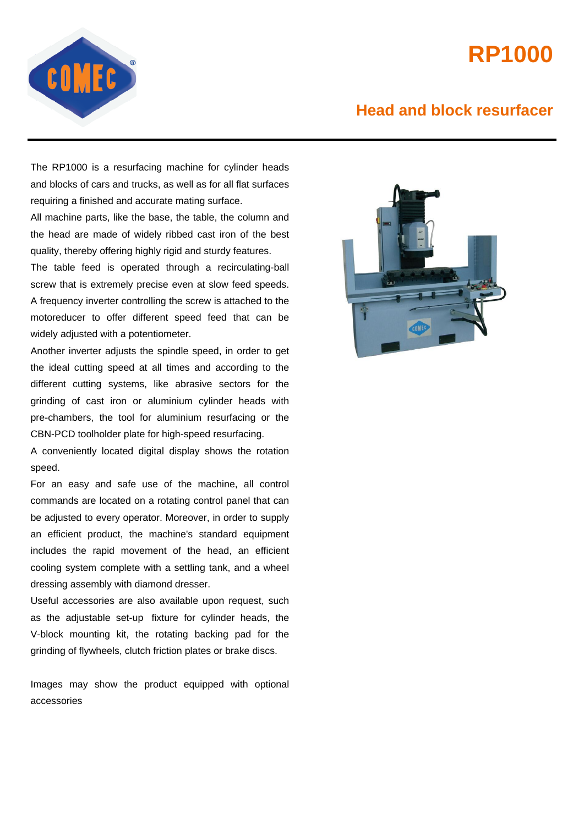## **RP1000**



## **Head and block resurfacer**

The RP1000 is a resurfacing machine for cylinder heads and blocks of cars and trucks, as well as for all flat surfaces requiring a finished and accurate mating surface.

All machine parts, like the base, the table, the column and the head are made of widely ribbed cast iron of the best quality, thereby offering highly rigid and sturdy features.

The table feed is operated through a recirculating-ball screw that is extremely precise even at slow feed speeds. A frequency inverter controlling the screw is attached to the motoreducer to offer different speed feed that can be widely adjusted with a potentiometer.

Another inverter adjusts the spindle speed, in order to get the ideal cutting speed at all times and according to the different cutting systems, like abrasive sectors for the grinding of cast iron or aluminium cylinder heads with pre-chambers, the tool for aluminium resurfacing or the CBN-PCD toolholder plate for high-speed resurfacing.

A conveniently located digital display shows the rotation speed.

For an easy and safe use of the machine, all control commands are located on a rotating control panel that can be adjusted to every operator. Moreover, in order to supply an efficient product, the machine's standard equipment includes the rapid movement of the head, an efficient cooling system complete with a settling tank, and a wheel dressing assembly with diamond dresser.

Useful accessories are also available upon request, such as the adjustable set-up fixture for cylinder heads, the V-block mounting kit, the rotating backing pad for the grinding of flywheels, clutch friction plates or brake discs.

Images may show the product equipped with optional accessories

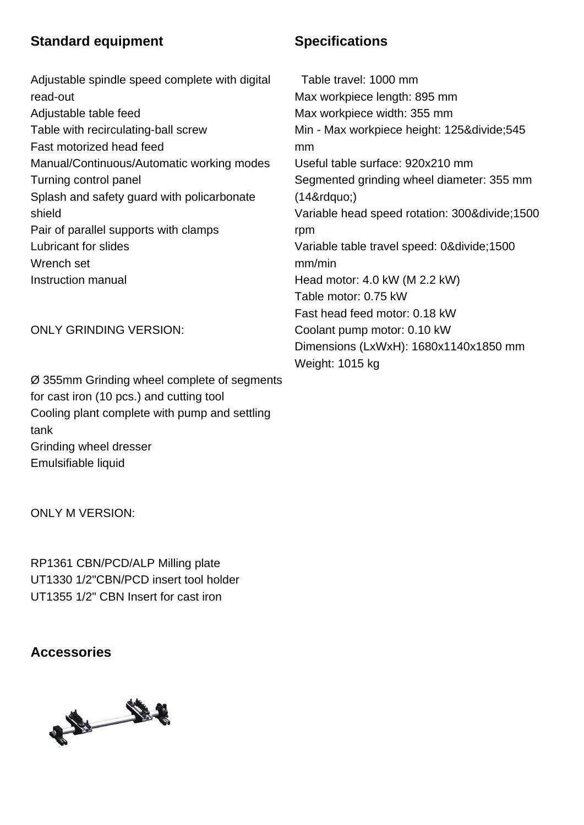## **Standard equipment Specifications**

 Adjustable spindle speed complete with digital read-out Adjustable table feed Table with recirculating-ball screw Fast motorized head feed Manual/Continuous/Automatic working modes Turning control panel Splash and safety guard with policarbonate shield Pair of parallel supports with clamps Lubricant for slides Wrench set Instruction manual

ONLY GRINDING VERSION:

 Ø 355mm Grinding wheel complete of segments for cast iron (10 pcs.) and cutting tool Cooling plant complete with pump and settling tank Grinding wheel dresser

 Emulsifiable liquid

ONLY M VERSION:

 RP1361 CBN/PCD/ALP Milling plate UT1330 1/2"CBN/PCD insert tool holder UT1355 1/2" CBN Insert for cast iron

**Accessories**

# 13 19

 Table travel: 1000 mm Max workpiece length: 895 mm Max workpiece width: 355 mm Min - Max workpiece height: 125÷545 mm Useful table surface: 920x210 mm Segmented grinding wheel diameter: 355 mm  $(148<sub>rdquo</sub>)$ Variable head speed rotation: 300&divide: 1500 rpm Variable table travel speed: 0÷1500 mm/min Head motor: 4.0 kW (M 2.2 kW) Table motor: 0.75 kW Fast head feed motor: 0.18 kW Coolant pump motor: 0.10 kW Dimensions (LxWxH): 1680x1140x1850 mm Weight: 1015 kg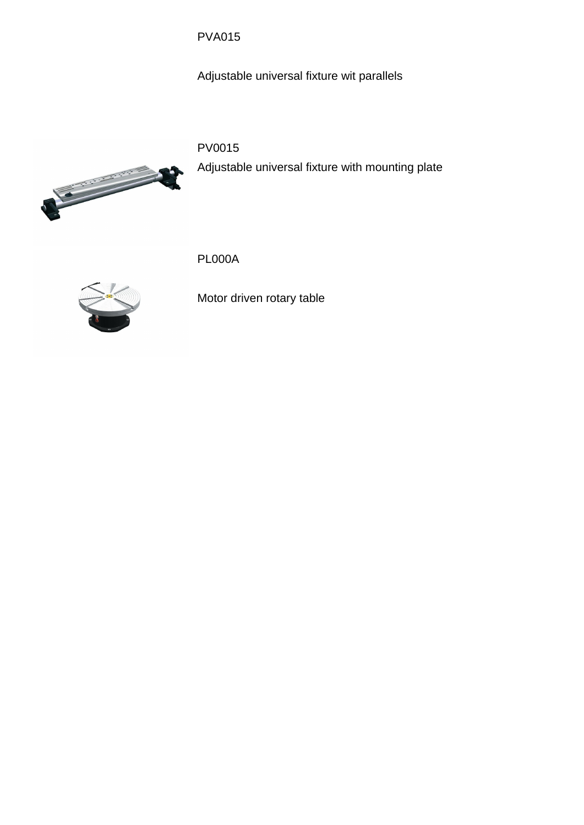PVA015

 Adjustable universal fixture wit parallels

### PV0015

Adjustable universal fixture with mounting plate



PL000A



 Motor driven rotary table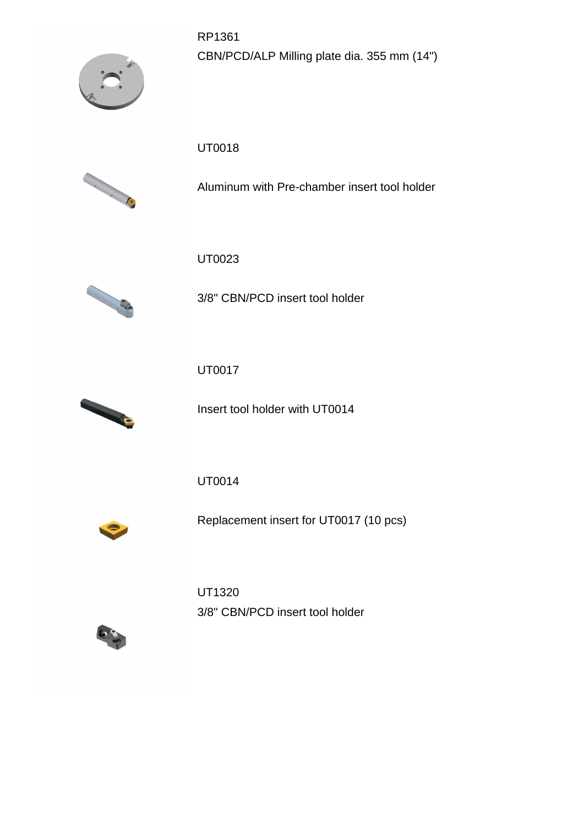RP1361 CBN/PCD/ALP Milling plate dia. 355 mm (14")



UT0018



 Aluminum with Pre-chamber insert tool holder

UT0023



 3/8" CBN/PCD insert tool holder

UT0017



 Insert tool holder with UT0014

UT0014



 Replacement insert for UT0017 (10 pcs)

UT1320 3/8" CBN/PCD insert tool holder

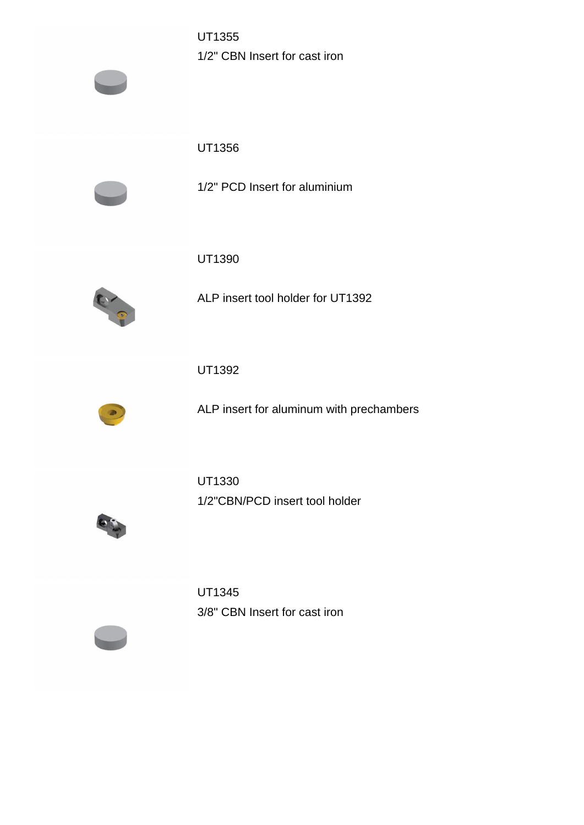UT1355 1/2" CBN Insert for cast iron

UT1356



 1/2" PCD Insert for aluminium

UT1390



 ALP insert tool holder for UT1392

UT1392



 ALP insert for aluminum with prechambers

UT1330 1/2"CBN/PCD insert tool holder



UT1345 3/8" CBN Insert for cast iron